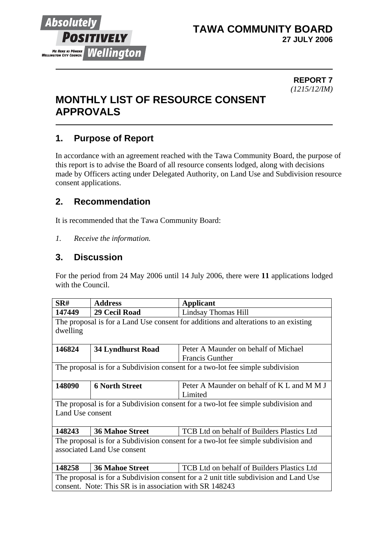

### **TAWA COMMUNITY BOARD 27 JULY 2006**

#### **REPORT 7** *(1215/12/IM)*

# **MONTHLY LIST OF RESOURCE CONSENT APPROVALS**

# **1. Purpose of Report**

In accordance with an agreement reached with the Tawa Community Board, the purpose of this report is to advise the Board of all resource consents lodged, along with decisions made by Officers acting under Delegated Authority, on Land Use and Subdivision resource consent applications.

# **2. Recommendation**

It is recommended that the Tawa Community Board:

*1. Receive the information.*

# **3. Discussion**

For the period from 24 May 2006 until 14 July 2006, there were **11** applications lodged with the Council.

| SR#                                                                                   | <b>Address</b>           | <b>Applicant</b>                           |  |  |
|---------------------------------------------------------------------------------------|--------------------------|--------------------------------------------|--|--|
| 147449                                                                                | 29 Cecil Road            | Lindsay Thomas Hill                        |  |  |
| The proposal is for a Land Use consent for additions and alterations to an existing   |                          |                                            |  |  |
| dwelling                                                                              |                          |                                            |  |  |
|                                                                                       |                          |                                            |  |  |
| 146824                                                                                | <b>34 Lyndhurst Road</b> | Peter A Maunder on behalf of Michael       |  |  |
|                                                                                       |                          | <b>Francis Gunther</b>                     |  |  |
| The proposal is for a Subdivision consent for a two-lot fee simple subdivision        |                          |                                            |  |  |
|                                                                                       |                          |                                            |  |  |
| 148090                                                                                | <b>6 North Street</b>    | Peter A Maunder on behalf of K L and M M J |  |  |
|                                                                                       |                          | Limited                                    |  |  |
| The proposal is for a Subdivision consent for a two-lot fee simple subdivision and    |                          |                                            |  |  |
| Land Use consent                                                                      |                          |                                            |  |  |
|                                                                                       |                          |                                            |  |  |
| 148243                                                                                | <b>36 Mahoe Street</b>   | TCB Ltd on behalf of Builders Plastics Ltd |  |  |
| The proposal is for a Subdivision consent for a two-lot fee simple subdivision and    |                          |                                            |  |  |
| associated Land Use consent                                                           |                          |                                            |  |  |
|                                                                                       |                          |                                            |  |  |
| 148258                                                                                | <b>36 Mahoe Street</b>   | TCB Ltd on behalf of Builders Plastics Ltd |  |  |
| The proposal is for a Subdivision consent for a 2 unit title subdivision and Land Use |                          |                                            |  |  |
| consent. Note: This SR is in association with SR 148243                               |                          |                                            |  |  |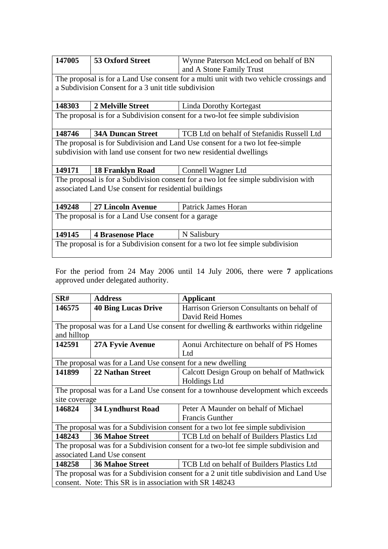| 147005                                                                              | <b>53 Oxford Street</b>                                                                | Wynne Paterson McLeod on behalf of BN                                          |  |  |  |
|-------------------------------------------------------------------------------------|----------------------------------------------------------------------------------------|--------------------------------------------------------------------------------|--|--|--|
|                                                                                     |                                                                                        | and A Stone Family Trust                                                       |  |  |  |
|                                                                                     | The proposal is for a Land Use consent for a multi unit with two vehicle crossings and |                                                                                |  |  |  |
|                                                                                     | a Subdivision Consent for a 3 unit title subdivision                                   |                                                                                |  |  |  |
|                                                                                     |                                                                                        |                                                                                |  |  |  |
| 148303                                                                              | 2 Melville Street                                                                      | <b>Linda Dorothy Kortegast</b>                                                 |  |  |  |
|                                                                                     |                                                                                        | The proposal is for a Subdivision consent for a two-lot fee simple subdivision |  |  |  |
|                                                                                     |                                                                                        |                                                                                |  |  |  |
| 148746                                                                              | <b>34A Duncan Street</b>                                                               | TCB Ltd on behalf of Stefanidis Russell Ltd                                    |  |  |  |
| The proposal is for Subdivision and Land Use consent for a two lot fee-simple       |                                                                                        |                                                                                |  |  |  |
|                                                                                     |                                                                                        | subdivision with land use consent for two new residential dwellings            |  |  |  |
|                                                                                     |                                                                                        |                                                                                |  |  |  |
| 149171                                                                              | <b>18 Franklyn Road</b> Connell Wagner Ltd                                             |                                                                                |  |  |  |
| The proposal is for a Subdivision consent for a two lot fee simple subdivision with |                                                                                        |                                                                                |  |  |  |
| associated Land Use consent for residential buildings                               |                                                                                        |                                                                                |  |  |  |
|                                                                                     |                                                                                        |                                                                                |  |  |  |
| 149248                                                                              | <b>27 Lincoln Avenue</b>                                                               | Patrick James Horan                                                            |  |  |  |
| The proposal is for a Land Use consent for a garage                                 |                                                                                        |                                                                                |  |  |  |
|                                                                                     |                                                                                        |                                                                                |  |  |  |
| 149145                                                                              | <b>4 Brasenose Place</b>                                                               | N Salisbury                                                                    |  |  |  |
| The proposal is for a Subdivision consent for a two lot fee simple subdivision      |                                                                                        |                                                                                |  |  |  |
|                                                                                     |                                                                                        |                                                                                |  |  |  |
|                                                                                     |                                                                                        |                                                                                |  |  |  |

For the period from 24 May 2006 until 14 July 2006, there were **7** applications approved under delegated authority.

| SRH                                                                                    | <b>Address</b>             | Applicant                                  |  |  |
|----------------------------------------------------------------------------------------|----------------------------|--------------------------------------------|--|--|
| 146575                                                                                 | <b>40 Bing Lucas Drive</b> | Harrison Grierson Consultants on behalf of |  |  |
|                                                                                        |                            | David Reid Homes                           |  |  |
| The proposal was for a Land Use consent for dwelling $\&$ earthworks within ridgeline  |                            |                                            |  |  |
| and hilltop                                                                            |                            |                                            |  |  |
| 142591                                                                                 | <b>27A Fyvie Avenue</b>    | Aonui Architecture on behalf of PS Homes   |  |  |
|                                                                                        |                            | Ltd                                        |  |  |
| The proposal was for a Land Use consent for a new dwelling                             |                            |                                            |  |  |
| 141899                                                                                 | <b>22 Nathan Street</b>    | Calcott Design Group on behalf of Mathwick |  |  |
|                                                                                        |                            | <b>Holdings Ltd</b>                        |  |  |
| The proposal was for a Land Use consent for a townhouse development which exceeds      |                            |                                            |  |  |
| site coverage                                                                          |                            |                                            |  |  |
| 146824                                                                                 | <b>34 Lyndhurst Road</b>   | Peter A Maunder on behalf of Michael       |  |  |
|                                                                                        |                            | <b>Francis Gunther</b>                     |  |  |
| The proposal was for a Subdivision consent for a two lot fee simple subdivision        |                            |                                            |  |  |
| 148243                                                                                 | <b>36 Mahoe Street</b>     | TCB Ltd on behalf of Builders Plastics Ltd |  |  |
| The proposal was for a Subdivision consent for a two-lot fee simple subdivision and    |                            |                                            |  |  |
| associated Land Use consent                                                            |                            |                                            |  |  |
| 148258                                                                                 | <b>36 Mahoe Street</b>     | TCB Ltd on behalf of Builders Plastics Ltd |  |  |
| The proposal was for a Subdivision consent for a 2 unit title subdivision and Land Use |                            |                                            |  |  |
| consent. Note: This SR is in association with SR 148243                                |                            |                                            |  |  |